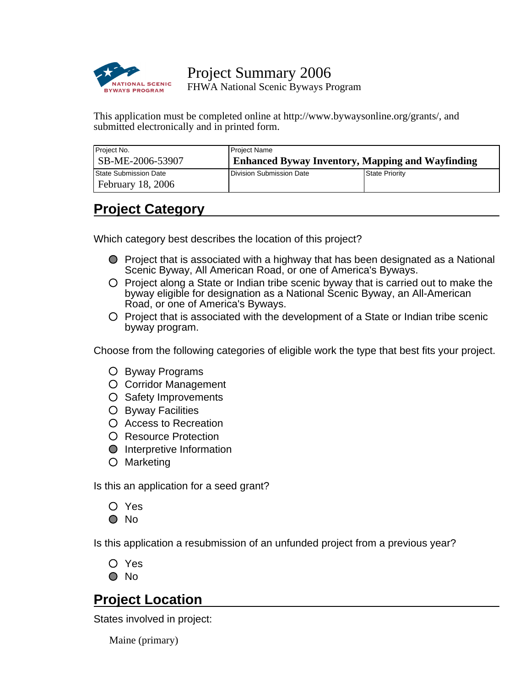

Project Summary 2006 FHWA National Scenic Byways Program

This application must be completed online at http://www.bywaysonline.org/grants/, and submitted electronically and in printed form.

| Project No.              | Project Name                                            |                |
|--------------------------|---------------------------------------------------------|----------------|
| SB-ME-2006-53907         | <b>Enhanced Byway Inventory, Mapping and Wayfinding</b> |                |
| State Submission Date    | Division Submission Date                                | State Priority |
| <b>February 18, 2006</b> |                                                         |                |

## **Project Category**

Which category best describes the location of this project?

- $\bullet$  Project that is associated with a highway that has been designated as a National Scenic Byway, All American Road, or one of America's Byways.
- $\circ$  Project along a State or Indian tribe scenic byway that is carried out to make the byway eligible for designation as a National Scenic Byway, an All-American Road, or one of America's Byways.
- $\circ$  Project that is associated with the development of a State or Indian tribe scenic byway program.

Choose from the following categories of eligible work the type that best fits your project.

- Byway Programs
- O Corridor Management
- O Safety Improvements
- O Byway Facilities
- Access to Recreation
- O Resource Protection
- **O** Interpretive Information
- Marketing

Is this an application for a seed grant?

Yes

 $\bigcirc$  No

Is this application a resubmission of an unfunded project from a previous year?

O Yes

O No

## **Project Location**

States involved in project:

Maine (primary)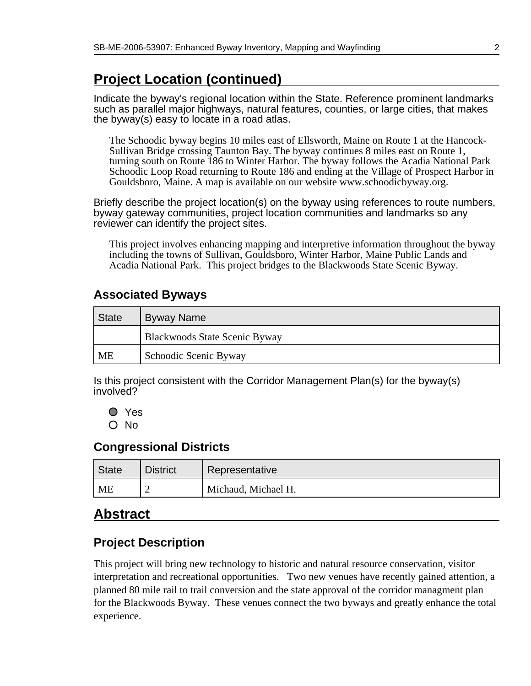## **Project Location (continued)**

Indicate the byway's regional location within the State. Reference prominent landmarks such as parallel major highways, natural features, counties, or large cities, that makes the byway(s) easy to locate in a road atlas.

The Schoodic byway begins 10 miles east of Ellsworth, Maine on Route 1 at the Hancock-Sullivan Bridge crossing Taunton Bay. The byway continues 8 miles east on Route 1, turning south on Route 186 to Winter Harbor. The byway follows the Acadia National Park Schoodic Loop Road returning to Route 186 and ending at the Village of Prospect Harbor in Gouldsboro, Maine. A map is available on our website www.schoodicbyway.org.

Briefly describe the project location(s) on the byway using references to route numbers, byway gateway communities, project location communities and landmarks so any reviewer can identify the project sites.

This project involves enhancing mapping and interpretive information throughout the byway including the towns of Sullivan, Gouldsboro, Winter Harbor, Maine Public Lands and Acadia National Park. This project bridges to the Blackwoods State Scenic Byway.

### **Associated Byways**

| <sup>I</sup> State | Byway Name                    |
|--------------------|-------------------------------|
|                    | Blackwoods State Scenic Byway |
| <b>ME</b>          | Schoodic Scenic Byway         |

Is this project consistent with the Corridor Management Plan(s) for the byway(s) involved?

O Yes O No

### **Congressional Districts**

| ' State | <b>District</b> | Representative      |
|---------|-----------------|---------------------|
| ME      | -               | Michaud, Michael H. |

## **Abstract**

## **Project Description**

This project will bring new technology to historic and natural resource conservation, visitor interpretation and recreational opportunities. Two new venues have recently gained attention, a planned 80 mile rail to trail conversion and the state approval of the corridor managment plan for the Blackwoods Byway. These venues connect the two byways and greatly enhance the total experience.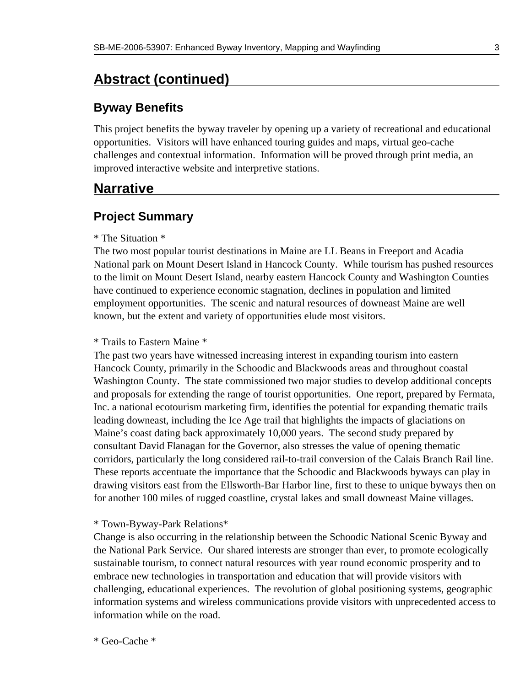## **Abstract (continued)**

## **Byway Benefits**

This project benefits the byway traveler by opening up a variety of recreational and educational opportunities. Visitors will have enhanced touring guides and maps, virtual geo-cache challenges and contextual information. Information will be proved through print media, an improved interactive website and interpretive stations.

## **Narrative**

### **Project Summary**

#### \* The Situation \*

The two most popular tourist destinations in Maine are LL Beans in Freeport and Acadia National park on Mount Desert Island in Hancock County. While tourism has pushed resources to the limit on Mount Desert Island, nearby eastern Hancock County and Washington Counties have continued to experience economic stagnation, declines in population and limited employment opportunities. The scenic and natural resources of downeast Maine are well known, but the extent and variety of opportunities elude most visitors.

#### \* Trails to Eastern Maine \*

The past two years have witnessed increasing interest in expanding tourism into eastern Hancock County, primarily in the Schoodic and Blackwoods areas and throughout coastal Washington County. The state commissioned two major studies to develop additional concepts and proposals for extending the range of tourist opportunities. One report, prepared by Fermata, Inc. a national ecotourism marketing firm, identifies the potential for expanding thematic trails leading downeast, including the Ice Age trail that highlights the impacts of glaciations on Maine's coast dating back approximately 10,000 years. The second study prepared by consultant David Flanagan for the Governor, also stresses the value of opening thematic corridors, particularly the long considered rail-to-trail conversion of the Calais Branch Rail line. These reports accentuate the importance that the Schoodic and Blackwoods byways can play in drawing visitors east from the Ellsworth-Bar Harbor line, first to these to unique byways then on for another 100 miles of rugged coastline, crystal lakes and small downeast Maine villages.

#### \* Town-Byway-Park Relations\*

Change is also occurring in the relationship between the Schoodic National Scenic Byway and the National Park Service. Our shared interests are stronger than ever, to promote ecologically sustainable tourism, to connect natural resources with year round economic prosperity and to embrace new technologies in transportation and education that will provide visitors with challenging, educational experiences. The revolution of global positioning systems, geographic information systems and wireless communications provide visitors with unprecedented access to information while on the road.

\* Geo-Cache \*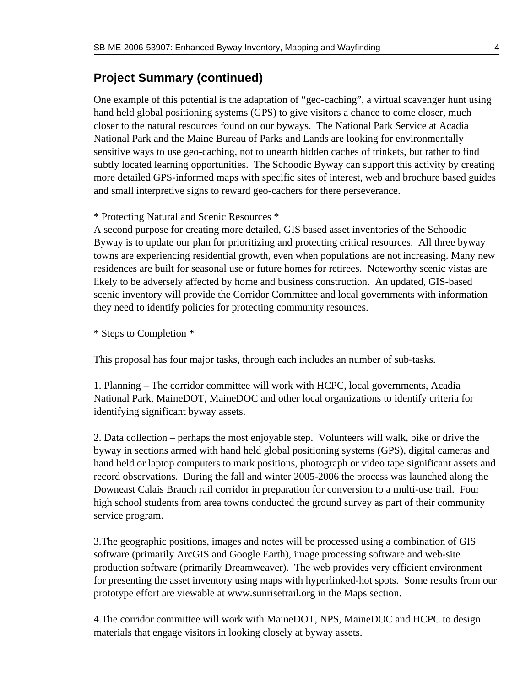#### **Project Summary (continued)**

One example of this potential is the adaptation of "geo-caching", a virtual scavenger hunt using hand held global positioning systems (GPS) to give visitors a chance to come closer, much closer to the natural resources found on our byways. The National Park Service at Acadia National Park and the Maine Bureau of Parks and Lands are looking for environmentally sensitive ways to use geo-caching, not to unearth hidden caches of trinkets, but rather to find subtly located learning opportunities. The Schoodic Byway can support this activity by creating more detailed GPS-informed maps with specific sites of interest, web and brochure based guides and small interpretive signs to reward geo-cachers for there perseverance.

#### \* Protecting Natural and Scenic Resources \*

A second purpose for creating more detailed, GIS based asset inventories of the Schoodic Byway is to update our plan for prioritizing and protecting critical resources. All three byway towns are experiencing residential growth, even when populations are not increasing. Many new residences are built for seasonal use or future homes for retirees. Noteworthy scenic vistas are likely to be adversely affected by home and business construction. An updated, GIS-based scenic inventory will provide the Corridor Committee and local governments with information they need to identify policies for protecting community resources.

\* Steps to Completion \*

This proposal has four major tasks, through each includes an number of sub-tasks.

1. Planning – The corridor committee will work with HCPC, local governments, Acadia National Park, MaineDOT, MaineDOC and other local organizations to identify criteria for identifying significant byway assets.

2. Data collection – perhaps the most enjoyable step. Volunteers will walk, bike or drive the byway in sections armed with hand held global positioning systems (GPS), digital cameras and hand held or laptop computers to mark positions, photograph or video tape significant assets and record observations. During the fall and winter 2005-2006 the process was launched along the Downeast Calais Branch rail corridor in preparation for conversion to a multi-use trail. Four high school students from area towns conducted the ground survey as part of their community service program.

3. The geographic positions, images and notes will be processed using a combination of GIS software (primarily ArcGIS and Google Earth), image processing software and web-site production software (primarily Dreamweaver). The web provides very efficient environment for presenting the asset inventory using maps with hyperlinked-hot spots. Some results from our prototype effort are viewable at www.sunrisetrail.org in the Maps section.

4. The corridor committee will work with MaineDOT, NPS, MaineDOC and HCPC to design materials that engage visitors in looking closely at byway assets.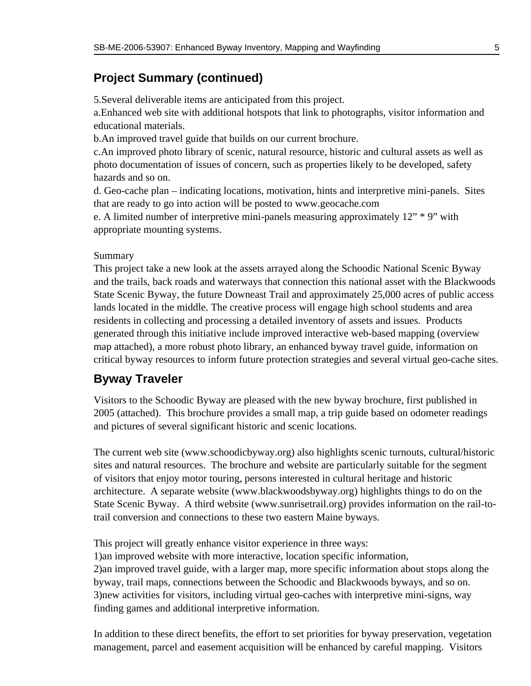## **Project Summary (continued)**

5. Several deliverable items are anticipated from this project.

a. Enhanced web site with additional hotspots that link to photographs, visitor information and educational materials.

b. An improved travel guide that builds on our current brochure.

c. An improved photo library of scenic, natural resource, historic and cultural assets as well as photo documentation of issues of concern, such as properties likely to be developed, safety hazards and so on.

d. Geo-cache plan – indicating locations, motivation, hints and interpretive mini-panels. Sites that are ready to go into action will be posted to www.geocache.com

e. A limited number of interpretive mini-panels measuring approximately 12" \* 9" with appropriate mounting systems.

#### Summary

This project take a new look at the assets arrayed along the Schoodic National Scenic Byway and the trails, back roads and waterways that connection this national asset with the Blackwoods State Scenic Byway, the future Downeast Trail and approximately 25,000 acres of public access lands located in the middle. The creative process will engage high school students and area residents in collecting and processing a detailed inventory of assets and issues. Products generated through this initiative include improved interactive web-based mapping (overview map attached), a more robust photo library, an enhanced byway travel guide, information on critical byway resources to inform future protection strategies and several virtual geo-cache sites.

### **Byway Traveler**

Visitors to the Schoodic Byway are pleased with the new byway brochure, first published in 2005 (attached). This brochure provides a small map, a trip guide based on odometer readings and pictures of several significant historic and scenic locations.

The current web site (www.schoodicbyway.org) also highlights scenic turnouts, cultural/historic sites and natural resources. The brochure and website are particularly suitable for the segment of visitors that enjoy motor touring, persons interested in cultural heritage and historic architecture. A separate website (www.blackwoodsbyway.org) highlights things to do on the State Scenic Byway. A third website (www.sunrisetrail.org) provides information on the rail-totrail conversion and connections to these two eastern Maine byways.

This project will greatly enhance visitor experience in three ways:

1) an improved website with more interactive, location specific information,

2) an improved travel guide, with a larger map, more specific information about stops along the byway, trail maps, connections between the Schoodic and Blackwoods byways, and so on. 3) new activities for visitors, including virtual geo-caches with interpretive mini-signs, way finding games and additional interpretive information.

In addition to these direct benefits, the effort to set priorities for byway preservation, vegetation management, parcel and easement acquisition will be enhanced by careful mapping. Visitors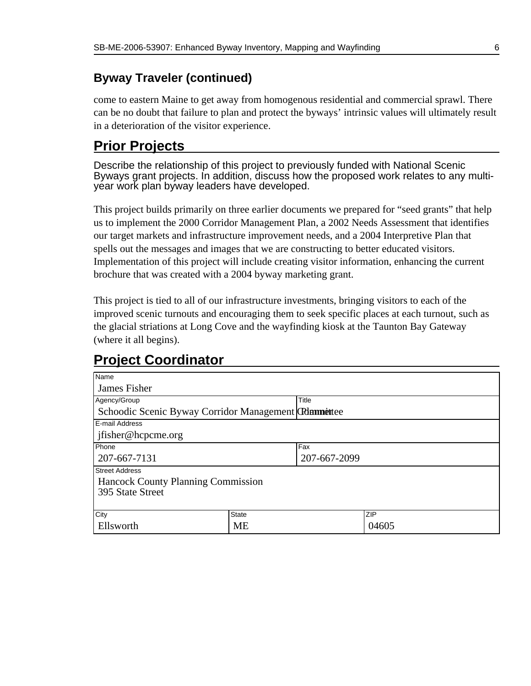## **Byway Traveler (continued)**

come to eastern Maine to get away from homogenous residential and commercial sprawl. There can be no doubt that failure to plan and protect the byways' intrinsic values will ultimately result in a deterioration of the visitor experience.

## **Prior Projects**

Describe the relationship of this project to previously funded with National Scenic Byways grant projects. In addition, discuss how the proposed work relates to any multiyear work plan byway leaders have developed.

This project builds primarily on three earlier documents we prepared for "seed grants" that help us to implement the 2000 Corridor Management Plan, a 2002 Needs Assessment that identifies our target markets and infrastructure improvement needs, and a 2004 Interpretive Plan that spells out the messages and images that we are constructing to better educated visitors. Implementation of this project will include creating visitor information, enhancing the current brochure that was created with a 2004 byway marketing grant.

This project is tied to all of our infrastructure investments, bringing visitors to each of the improved scenic turnouts and encouraging them to seek specific places at each turnout, such as the glacial striations at Long Cove and the wayfinding kiosk at the Taunton Bay Gateway (where it all begins).

| Name                                                 |       |              |            |
|------------------------------------------------------|-------|--------------|------------|
| James Fisher                                         |       |              |            |
| Agency/Group                                         |       | Title        |            |
| Schoodic Scenic Byway Corridor Management Glammettee |       |              |            |
| E-mail Address                                       |       |              |            |
| jfisher@hcpcme.org                                   |       |              |            |
| Phone                                                |       | Fax          |            |
| 207-667-7131                                         |       | 207-667-2099 |            |
| <b>Street Address</b>                                |       |              |            |
| Hancock County Planning Commission                   |       |              |            |
| 395 State Street                                     |       |              |            |
|                                                      |       |              |            |
| City                                                 | State |              | <b>ZIP</b> |
| Ellsworth                                            | МE    |              | 04605      |

# **Project Coordinator**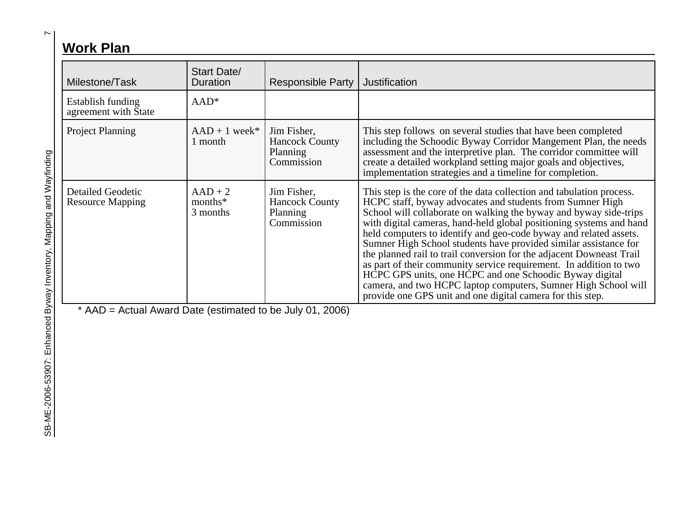# **Work Plan**

| Milestone/Task                                      | Start Date/<br>Duration             | <b>Responsible Party</b>                                       | Justification                                                                                                                                                                                                                                                                                                                                                                                                                                                                                                                                                                                                                                                                                                                                                   |
|-----------------------------------------------------|-------------------------------------|----------------------------------------------------------------|-----------------------------------------------------------------------------------------------------------------------------------------------------------------------------------------------------------------------------------------------------------------------------------------------------------------------------------------------------------------------------------------------------------------------------------------------------------------------------------------------------------------------------------------------------------------------------------------------------------------------------------------------------------------------------------------------------------------------------------------------------------------|
| Establish funding<br>agreement with State           | $AAD*$                              |                                                                |                                                                                                                                                                                                                                                                                                                                                                                                                                                                                                                                                                                                                                                                                                                                                                 |
| <b>Project Planning</b>                             | $AAD + 1$ week*<br>1 month          | Jim Fisher,<br><b>Hancock County</b><br>Planning<br>Commission | This step follows on several studies that have been completed<br>including the Schoodic Byway Corridor Mangement Plan, the needs<br>assessment and the interpretive plan. The corridor committee will<br>create a detailed workpland setting major goals and objectives,<br>implementation strategies and a timeline for completion.                                                                                                                                                                                                                                                                                                                                                                                                                            |
| <b>Detailed Geodetic</b><br><b>Resource Mapping</b> | $AAD + 2$<br>$months^*$<br>3 months | Jim Fisher,<br><b>Hancock County</b><br>Planning<br>Commission | This step is the core of the data collection and tabulation process.<br>HCPC staff, byway advocates and students from Sumner High<br>School will collaborate on walking the byway and byway side-trips<br>with digital cameras, hand-held global positioning systems and hand<br>held computers to identify and geo-code byway and related assets.<br>Sumner High School students have provided similar assistance for<br>the planned rail to trail conversion for the adjacent Downeast Trail<br>as part of their community service requirement. In addition to two<br>HCPC GPS units, one HCPC and one Schoodic Byway digital<br>camera, and two HCPC laptop computers, Sumner High School will<br>provide one GPS unit and one digital camera for this step. |

 $AAD =$  Actual Award Date (estimated to be July 01, 2006)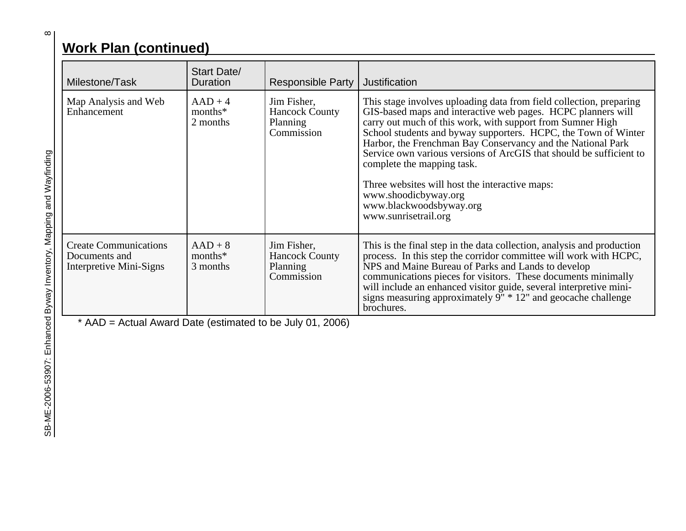# **Work Plan (continued)**

| Milestone/Task                                                           | <b>Start Date/</b><br><b>Duration</b> | <b>Responsible Party</b>                                       | Justification                                                                                                                                                                                                                                                                                                                                                                                                                                                                                                                                                        |
|--------------------------------------------------------------------------|---------------------------------------|----------------------------------------------------------------|----------------------------------------------------------------------------------------------------------------------------------------------------------------------------------------------------------------------------------------------------------------------------------------------------------------------------------------------------------------------------------------------------------------------------------------------------------------------------------------------------------------------------------------------------------------------|
| Map Analysis and Web<br>Enhancement                                      | $AAD + 4$<br>$months^*$<br>2 months   | Jim Fisher,<br><b>Hancock County</b><br>Planning<br>Commission | This stage involves uploading data from field collection, preparing<br>GIS-based maps and interactive web pages. HCPC planners will<br>carry out much of this work, with support from Sumner High<br>School students and byway supporters. HCPC, the Town of Winter<br>Harbor, the Frenchman Bay Conservancy and the National Park<br>Service own various versions of ArcGIS that should be sufficient to<br>complete the mapping task.<br>Three websites will host the interactive maps:<br>www.shoodicbyway.org<br>www.blackwoodsbyway.org<br>www.sunrisetrail.org |
| <b>Create Communications</b><br>Documents and<br>Interpretive Mini-Signs | $AAD + 8$<br>$months^*$<br>3 months   | Jim Fisher,<br><b>Hancock County</b><br>Planning<br>Commission | This is the final step in the data collection, analysis and production<br>process. In this step the corridor committee will work with HCPC,<br>NPS and Maine Bureau of Parks and Lands to develop<br>communications pieces for visitors. These documents minimally<br>will include an enhanced visitor guide, several interpretive mini-<br>signs measuring approximately $9'' * 12''$ and geocache challenge<br>brochures.                                                                                                                                          |
| * AAD = Actual Award Date (estimated to be July 01, 2006)                |                                       |                                                                |                                                                                                                                                                                                                                                                                                                                                                                                                                                                                                                                                                      |

 $\infty$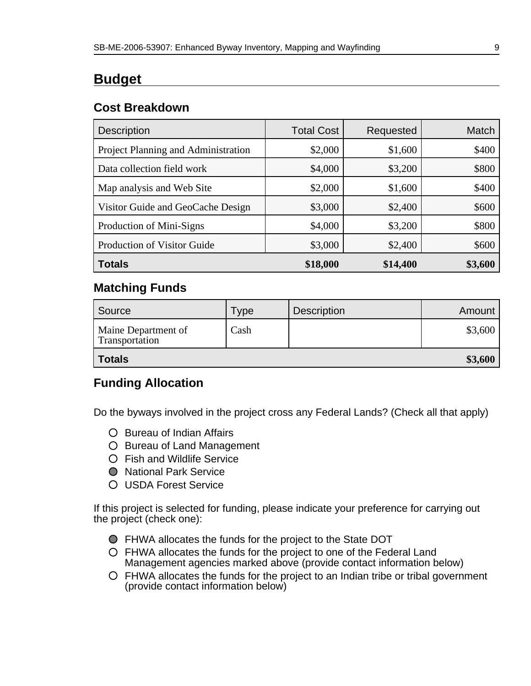## **Budget**

### **Cost Breakdown**

| <b>Description</b>                  | <b>Total Cost</b> | Requested | Match   |
|-------------------------------------|-------------------|-----------|---------|
| Project Planning and Administration | \$2,000           | \$1,600   | \$400   |
| Data collection field work          | \$4,000           | \$3,200   | \$800   |
| Map analysis and Web Site           | \$2,000           | \$1,600   | \$400   |
| Visitor Guide and GeoCache Design   | \$3,000           | \$2,400   | \$600   |
| Production of Mini-Signs            | \$4,000           | \$3,200   | \$800   |
| Production of Visitor Guide         | \$3,000           | \$2,400   | \$600   |
| <b>Totals</b>                       | \$18,000          | \$14,400  | \$3,600 |

### **Matching Funds**

| Source                                | Type | <b>Description</b> | Amount  |
|---------------------------------------|------|--------------------|---------|
| Maine Department of<br>Transportation | Cash |                    | \$3,600 |
| <b>Totals</b>                         |      |                    | \$3,600 |

### **Funding Allocation**

Do the byways involved in the project cross any Federal Lands? (Check all that apply)

- O Bureau of Indian Affairs
- O Bureau of Land Management
- Fish and Wildlife Service
- National Park Service
- USDA Forest Service

If this project is selected for funding, please indicate your preference for carrying out the project (check one):

- FHWA allocates the funds for the project to the State DOT
- FHWA allocates the funds for the project to one of the Federal Land Management agencies marked above (provide contact information below)
- FHWA allocates the funds for the project to an Indian tribe or tribal government (provide contact information below)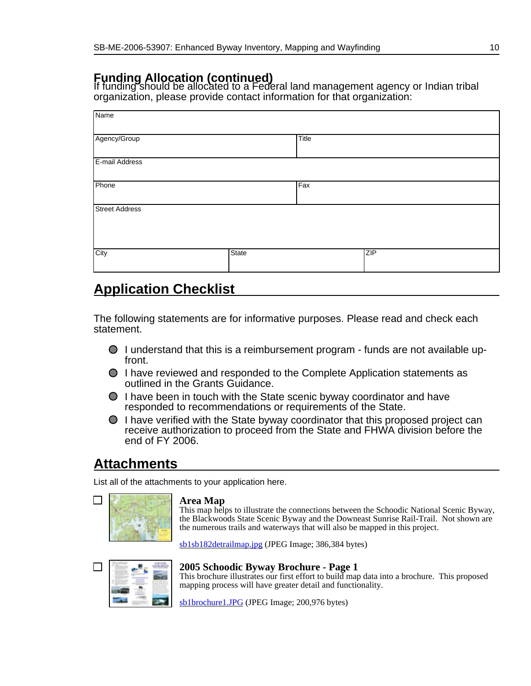## **Funding Allocation (continued)**

If funding should be allocated to a Federal land management agency or Indian tribal organization, please provide contact information for that organization:

| Name                  |       |       |     |
|-----------------------|-------|-------|-----|
| Agency/Group          |       | Title |     |
| E-mail Address        |       |       |     |
| Phone                 |       | Fax   |     |
| <b>Street Address</b> |       |       |     |
| City                  | State |       | ZIP |

## **Application Checklist**

The following statements are for informative purposes. Please read and check each statement.

- $\bigcirc$  I understand that this is a reimbursement program funds are not available upfront.
- I have reviewed and responded to the Complete Application statements as outlined in the Grants Guidance.
- $\bigcirc$  I have been in touch with the State scenic byway coordinator and have responded to recommendations or requirements of the State.
- $\bigcirc$  I have verified with the State byway coordinator that this proposed project can receive authorization to proceed from the State and FHWA division before the end of FY 2006.

## **Attachments**

List all of the attachments to your application here.

#### **Area Map**

This map helps to illustrate the connections between the Schoodic National Scenic Byway, the Blackwoods State Scenic Byway and the Downeast Sunrise Rail-Trail. Not shown are the numerous trails and waterways that will also be mapped in this project.

[sb1sb182detrailmap.jpg](http://www.bywaysonline.org/grants/application/viewattach/3239/sb1sb182detrailmap.jpg) (JPEG Image; 386,384 bytes)



#### **2005 Schoodic Byway Brochure - Page 1**

This brochure illustrates our first effort to build map data into a brochure. This proposed mapping process will have greater detail and functionality.

[sb1brochure1.JPG](http://www.bywaysonline.org/grants/application/viewattach/3240/sb1brochure1.JPG) (JPEG Image; 200,976 bytes)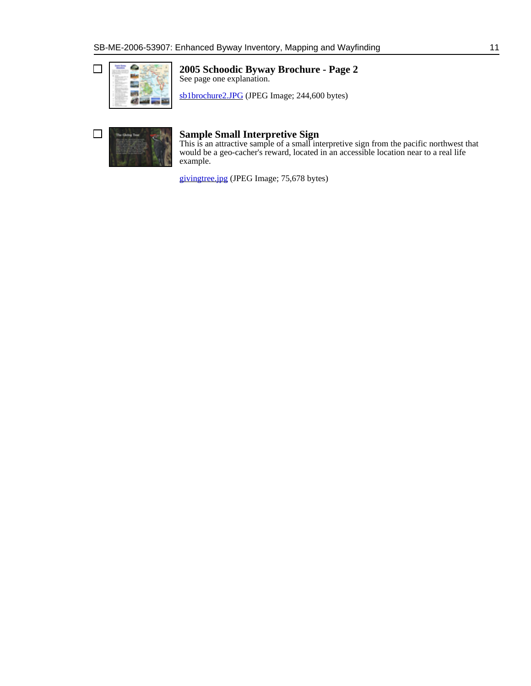

#### **2005 Schoodic Byway Brochure - Page 2** See page one explanation.

[sb1brochure2.JPG](http://www.bywaysonline.org/grants/application/viewattach/3241/sb1brochure2.JPG) (JPEG Image; 244,600 bytes)

| <b>Adopt Trees</b><br>____<br>_______<br>_____<br>_____ |  |
|---------------------------------------------------------|--|
| ---------<br>______<br>________<br>______<br>_____      |  |

#### **Sample Small Interpretive Sign**

This is an attractive sample of a small interpretive sign from the pacific northwest that would be a geo-cacher's reward, located in an accessible location near to a real life example.

[givingtree.jpg](http://www.bywaysonline.org/grants/application/viewattach/3242/givingtree.jpg) (JPEG Image; 75,678 bytes)